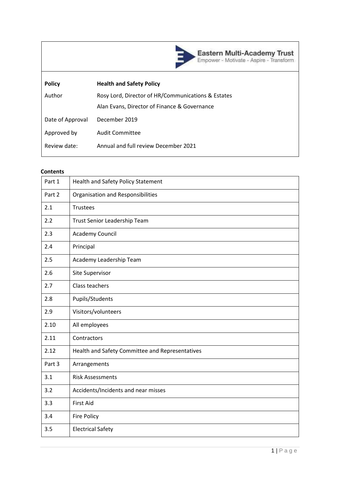

| <b>Policy</b>    | <b>Health and Safety Policy</b>                    |
|------------------|----------------------------------------------------|
| Author           | Rosy Lord, Director of HR/Communications & Estates |
|                  | Alan Evans, Director of Finance & Governance       |
| Date of Approval | December 2019                                      |
| Approved by      | <b>Audit Committee</b>                             |
| Review date:     | Annual and full review December 2021               |
|                  |                                                    |

#### **Contents**

| Part 1 | <b>Health and Safety Policy Statement</b>       |
|--------|-------------------------------------------------|
| Part 2 | Organisation and Responsibilities               |
| 2.1    | <b>Trustees</b>                                 |
| 2.2    | Trust Senior Leadership Team                    |
| 2.3    | Academy Council                                 |
| 2.4    | Principal                                       |
| 2.5    | Academy Leadership Team                         |
| 2.6    | Site Supervisor                                 |
| 2.7    | Class teachers                                  |
| 2.8    | Pupils/Students                                 |
| 2.9    | Visitors/volunteers                             |
| 2.10   | All employees                                   |
| 2.11   | Contractors                                     |
| 2.12   | Health and Safety Committee and Representatives |
| Part 3 | Arrangements                                    |
| 3.1    | <b>Risk Assessments</b>                         |
| 3.2    | Accidents/Incidents and near misses             |
| 3.3    | <b>First Aid</b>                                |
| 3.4    | Fire Policy                                     |
| 3.5    | <b>Electrical Safety</b>                        |
|        |                                                 |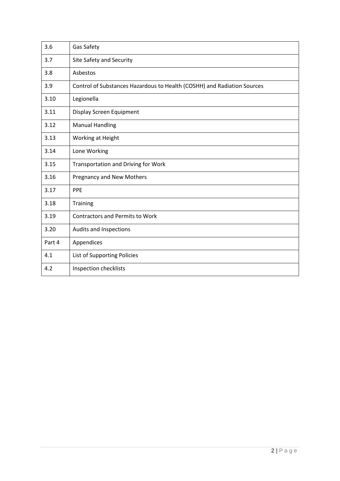| 3.6    | Gas Safety                                                              |
|--------|-------------------------------------------------------------------------|
| 3.7    | Site Safety and Security                                                |
| 3.8    | Asbestos                                                                |
| 3.9    | Control of Substances Hazardous to Health (COSHH) and Radiation Sources |
| 3.10   | Legionella                                                              |
| 3.11   | Display Screen Equipment                                                |
| 3.12   | <b>Manual Handling</b>                                                  |
| 3.13   | Working at Height                                                       |
| 3.14   | Lone Working                                                            |
| 3.15   | <b>Transportation and Driving for Work</b>                              |
| 3.16   | <b>Pregnancy and New Mothers</b>                                        |
| 3.17   | PPE                                                                     |
| 3.18   | Training                                                                |
| 3.19   | <b>Contractors and Permits to Work</b>                                  |
| 3.20   | Audits and Inspections                                                  |
| Part 4 | Appendices                                                              |
| 4.1    | List of Supporting Policies                                             |
| 4.2    | Inspection checklists                                                   |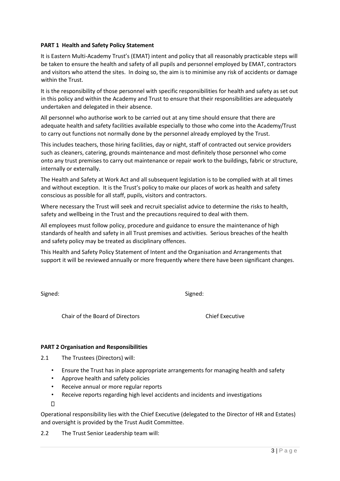#### **PART 1 Health and Safety Policy Statement**

It is Eastern Multi-Academy Trust's (EMAT) intent and policy that all reasonably practicable steps will be taken to ensure the health and safety of all pupils and personnel employed by EMAT, contractors and visitors who attend the sites. In doing so, the aim is to minimise any risk of accidents or damage within the Trust.

It is the responsibility of those personnel with specific responsibilities for health and safety as set out in this policy and within the Academy and Trust to ensure that their responsibilities are adequately undertaken and delegated in their absence.

All personnel who authorise work to be carried out at any time should ensure that there are adequate health and safety facilities available especially to those who come into the Academy/Trust to carry out functions not normally done by the personnel already employed by the Trust.

This includes teachers, those hiring facilities, day or night, staff of contracted out service providers such as cleaners, catering, grounds maintenance and most definitely those personnel who come onto any trust premises to carry out maintenance or repair work to the buildings, fabric or structure, internally or externally.

The Health and Safety at Work Act and all subsequent legislation is to be complied with at all times and without exception. It is the Trust's policy to make our places of work as health and safety conscious as possible for all staff, pupils, visitors and contractors.

Where necessary the Trust will seek and recruit specialist advice to determine the risks to health, safety and wellbeing in the Trust and the precautions required to deal with them.

All employees must follow policy, procedure and guidance to ensure the maintenance of high standards of health and safety in all Trust premises and activities. Serious breaches of the health and safety policy may be treated as disciplinary offences.

This Health and Safety Policy Statement of Intent and the Organisation and Arrangements that support it will be reviewed annually or more frequently where there have been significant changes.

Signed: Signed:

Chair of the Board of Directors Chief Executive

#### **PART 2 Organisation and Responsibilities**

- 2.1 The Trustees (Directors) will:
	- Ensure the Trust has in place appropriate arrangements for managing health and safety
	- Approve health and safety policies
	- Receive annual or more regular reports
	- Receive reports regarding high level accidents and incidents and investigations

 $\Box$ 

Operational responsibility lies with the Chief Executive (delegated to the Director of HR and Estates) and oversight is provided by the Trust Audit Committee.

2.2 The Trust Senior Leadership team will: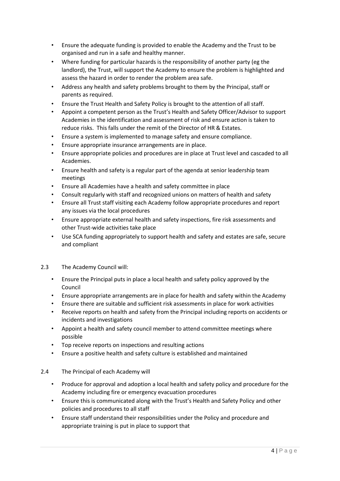- Ensure the adequate funding is provided to enable the Academy and the Trust to be organised and run in a safe and healthy manner.
- Where funding for particular hazards is the responsibility of another party (eg the landlord), the Trust, will support the Academy to ensure the problem is highlighted and assess the hazard in order to render the problem area safe.
- Address any health and safety problems brought to them by the Principal, staff or parents as required.
- Ensure the Trust Health and Safety Policy is brought to the attention of all staff.
- Appoint a competent person as the Trust's Health and Safety Officer/Advisor to support Academies in the identification and assessment of risk and ensure action is taken to reduce risks. This falls under the remit of the Director of HR & Estates.
- Ensure a system is implemented to manage safety and ensure compliance.
- Ensure appropriate insurance arrangements are in place.
- Ensure appropriate policies and procedures are in place at Trust level and cascaded to all Academies.
- Ensure health and safety is a regular part of the agenda at senior leadership team meetings
- Ensure all Academies have a health and safety committee in place
- Consult regularly with staff and recognized unions on matters of health and safety
- Ensure all Trust staff visiting each Academy follow appropriate procedures and report any issues via the local procedures
- Ensure appropriate external health and safety inspections, fire risk assessments and other Trust-wide activities take place
- Use SCA funding appropriately to support health and safety and estates are safe, secure and compliant
- 2.3 The Academy Council will:
	- Ensure the Principal puts in place a local health and safety policy approved by the Council
	- Ensure appropriate arrangements are in place for health and safety within the Academy
	- Ensure there are suitable and sufficient risk assessments in place for work activities
	- Receive reports on health and safety from the Principal including reports on accidents or incidents and investigations
	- Appoint a health and safety council member to attend committee meetings where possible
	- Top receive reports on inspections and resulting actions
	- Ensure a positive health and safety culture is established and maintained

#### 2.4 The Principal of each Academy will

- Produce for approval and adoption a local health and safety policy and procedure for the Academy including fire or emergency evacuation procedures
- Ensure this is communicated along with the Trust's Health and Safety Policy and other policies and procedures to all staff
- Ensure staff understand their responsibilities under the Policy and procedure and appropriate training is put in place to support that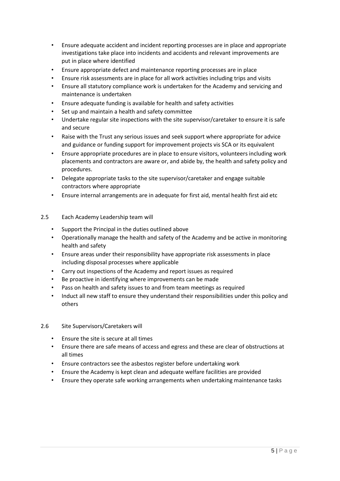- Ensure adequate accident and incident reporting processes are in place and appropriate investigations take place into incidents and accidents and relevant improvements are put in place where identified
- Ensure appropriate defect and maintenance reporting processes are in place
- Ensure risk assessments are in place for all work activities including trips and visits
- Ensure all statutory compliance work is undertaken for the Academy and servicing and maintenance is undertaken
- Ensure adequate funding is available for health and safety activities
- Set up and maintain a health and safety committee
- Undertake regular site inspections with the site supervisor/caretaker to ensure it is safe and secure
- Raise with the Trust any serious issues and seek support where appropriate for advice and guidance or funding support for improvement projects vis SCA or its equivalent
- Ensure appropriate procedures are in place to ensure visitors, volunteers including work placements and contractors are aware or, and abide by, the health and safety policy and procedures.
- Delegate appropriate tasks to the site supervisor/caretaker and engage suitable contractors where appropriate
- Ensure internal arrangements are in adequate for first aid, mental health first aid etc
- 2.5 Each Academy Leadership team will
	- Support the Principal in the duties outlined above
	- Operationally manage the health and safety of the Academy and be active in monitoring health and safety
	- Ensure areas under their responsibility have appropriate risk assessments in place including disposal processes where applicable
	- Carry out inspections of the Academy and report issues as required
	- Be proactive in identifying where improvements can be made
	- Pass on health and safety issues to and from team meetings as required
	- Induct all new staff to ensure they understand their responsibilities under this policy and others
- 2.6 Site Supervisors/Caretakers will
	- Ensure the site is secure at all times
	- Ensure there are safe means of access and egress and these are clear of obstructions at all times
	- Ensure contractors see the asbestos register before undertaking work
	- Ensure the Academy is kept clean and adequate welfare facilities are provided
	- Ensure they operate safe working arrangements when undertaking maintenance tasks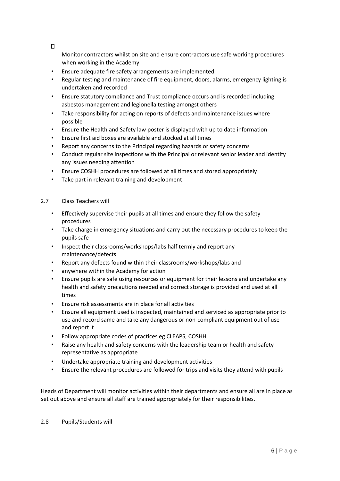$\Box$ 

Monitor contractors whilst on site and ensure contractors use safe working procedures when working in the Academy

- Ensure adequate fire safety arrangements are implemented
- Regular testing and maintenance of fire equipment, doors, alarms, emergency lighting is undertaken and recorded
- Ensure statutory compliance and Trust compliance occurs and is recorded including asbestos management and legionella testing amongst others
- Take responsibility for acting on reports of defects and maintenance issues where possible
- Ensure the Health and Safety law poster is displayed with up to date information
- Ensure first aid boxes are available and stocked at all times
- Report any concerns to the Principal regarding hazards or safety concerns
- Conduct regular site inspections with the Principal or relevant senior leader and identify any issues needing attention
- Ensure COSHH procedures are followed at all times and stored appropriately
- Take part in relevant training and development

#### 2.7 Class Teachers will

- Effectively supervise their pupils at all times and ensure they follow the safety procedures
- Take charge in emergency situations and carry out the necessary procedures to keep the pupils safe
- Inspect their classrooms/workshops/labs half termly and report any maintenance/defects
- Report any defects found within their classrooms/workshops/labs and
- anywhere within the Academy for action
- Ensure pupils are safe using resources or equipment for their lessons and undertake any health and safety precautions needed and correct storage is provided and used at all times
- Ensure risk assessments are in place for all activities
- Ensure all equipment used is inspected, maintained and serviced as appropriate prior to use and record same and take any dangerous or non-compliant equipment out of use and report it
- Follow appropriate codes of practices eg CLEAPS, COSHH
- Raise any health and safety concerns with the leadership team or health and safety representative as appropriate
- Undertake appropriate training and development activities
- Ensure the relevant procedures are followed for trips and visits they attend with pupils

Heads of Department will monitor activities within their departments and ensure all are in place as set out above and ensure all staff are trained appropriately for their responsibilities.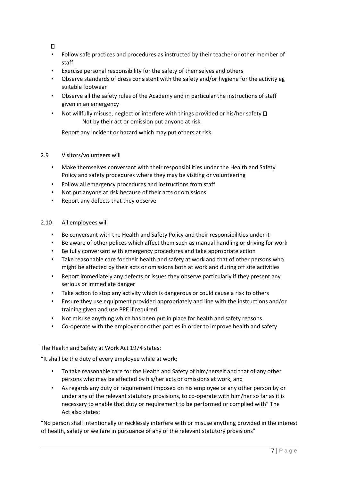$\Box$ 

- Follow safe practices and procedures as instructed by their teacher or other member of staff
- Exercise personal responsibility for the safety of themselves and others
- Observe standards of dress consistent with the safety and/or hygiene for the activity eg suitable footwear
- Observe all the safety rules of the Academy and in particular the instructions of staff given in an emergency
- Not willfully misuse, neglect or interfere with things provided or his/her safety  $\Box$ Not by their act or omission put anyone at risk

Report any incident or hazard which may put others at risk

#### 2.9 Visitors/volunteers will

- Make themselves conversant with their responsibilities under the Health and Safety Policy and safety procedures where they may be visiting or volunteering
- Follow all emergency procedures and instructions from staff
- Not put anyone at risk because of their acts or omissions
- Report any defects that they observe

#### 2.10 All employees will

- Be conversant with the Health and Safety Policy and their responsibilities under it
- Be aware of other polices which affect them such as manual handling or driving for work
- Be fully conversant with emergency procedures and take appropriate action
- Take reasonable care for their health and safety at work and that of other persons who might be affected by their acts or omissions both at work and during off site activities
- Report immediately any defects or issues they observe particularly if they present any serious or immediate danger
- Take action to stop any activity which is dangerous or could cause a risk to others
- Ensure they use equipment provided appropriately and line with the instructions and/or training given and use PPE if required
- Not misuse anything which has been put in place for health and safety reasons
- Co-operate with the employer or other parties in order to improve health and safety

#### The Health and Safety at Work Act 1974 states:

"It shall be the duty of every employee while at work;

- To take reasonable care for the Health and Safety of him/herself and that of any other persons who may be affected by his/her acts or omissions at work, and
- As regards any duty or requirement imposed on his employee or any other person by or under any of the relevant statutory provisions, to co-operate with him/her so far as it is necessary to enable that duty or requirement to be performed or complied with" The Act also states:

"No person shall intentionally or recklessly interfere with or misuse anything provided in the interest of health, safety or welfare in pursuance of any of the relevant statutory provisions"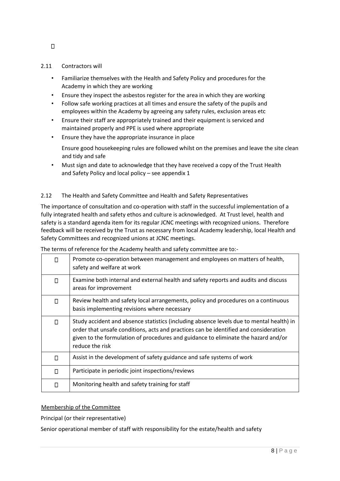#### 2.11 Contractors will

- Familiarize themselves with the Health and Safety Policy and procedures for the Academy in which they are working
- Ensure they inspect the asbestos register for the area in which they are working
- Follow safe working practices at all times and ensure the safety of the pupils and employees within the Academy by agreeing any safety rules, exclusion areas etc
- Ensure their staff are appropriately trained and their equipment is serviced and maintained properly and PPE is used where appropriate
- Ensure they have the appropriate insurance in place

Ensure good housekeeping rules are followed whilst on the premises and leave the site clean and tidy and safe

• Must sign and date to acknowledge that they have received a copy of the Trust Health and Safety Policy and local policy – see appendix 1

#### 2.12 The Health and Safety Committee and Health and Safety Representatives

The importance of consultation and co-operation with staff in the successful implementation of a fully integrated health and safety ethos and culture is acknowledged. At Trust level, health and safety is a standard agenda item for its regular JCNC meetings with recognized unions. Therefore feedback will be received by the Trust as necessary from local Academy leadership, local Health and Safety Committees and recognized unions at JCNC meetings.

| $\Box$ | Promote co-operation between management and employees on matters of health,<br>safety and welfare at work                                                                                                                                                                                 |
|--------|-------------------------------------------------------------------------------------------------------------------------------------------------------------------------------------------------------------------------------------------------------------------------------------------|
| $\Box$ | Examine both internal and external health and safety reports and audits and discuss<br>areas for improvement                                                                                                                                                                              |
| $\Box$ | Review health and safety local arrangements, policy and procedures on a continuous<br>basis implementing revisions where necessary                                                                                                                                                        |
| $\Box$ | Study accident and absence statistics (including absence levels due to mental health) in<br>order that unsafe conditions, acts and practices can be identified and consideration<br>given to the formulation of procedures and guidance to eliminate the hazard and/or<br>reduce the risk |
| $\Box$ | Assist in the development of safety guidance and safe systems of work                                                                                                                                                                                                                     |
| $\Box$ | Participate in periodic joint inspections/reviews                                                                                                                                                                                                                                         |
| $\Box$ | Monitoring health and safety training for staff                                                                                                                                                                                                                                           |

The terms of reference for the Academy health and safety committee are to:-

#### Membership of the Committee

Principal (or their representative)

Senior operational member of staff with responsibility for the estate/health and safety

 $\Box$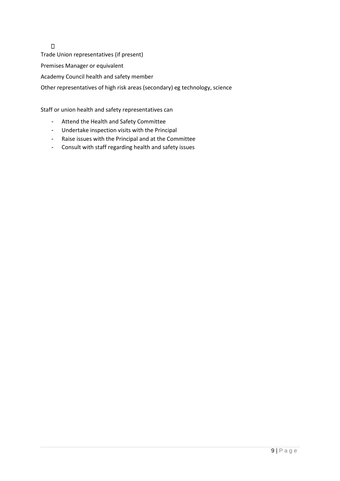Trade Union representatives (if present) Premises Manager or equivalent Academy Council health and safety member Other representatives of high risk areas (secondary) eg technology, science

Staff or union health and safety representatives can

- Attend the Health and Safety Committee
- Undertake inspection visits with the Principal
- Raise issues with the Principal and at the Committee
- Consult with staff regarding health and safety issues

 $\Box$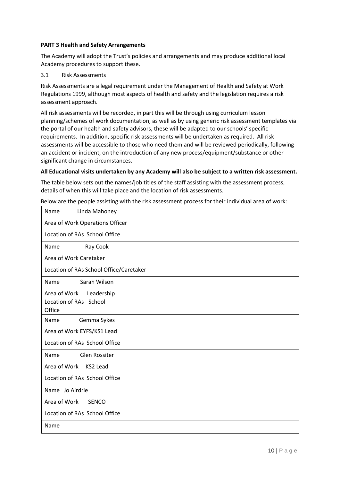#### **PART 3 Health and Safety Arrangements**

The Academy will adopt the Trust's policies and arrangements and may produce additional local Academy procedures to support these.

3.1 Risk Assessments

Risk Assessments are a legal requirement under the Management of Health and Safety at Work Regulations 1999, although most aspects of health and safety and the legislation requires a risk assessment approach.

All risk assessments will be recorded, in part this will be through using curriculum lesson planning/schemes of work documentation, as well as by using generic risk assessment templates via the portal of our health and safety advisors, these will be adapted to our schools' specific requirements. In addition, specific risk assessments will be undertaken as required. All risk assessments will be accessible to those who need them and will be reviewed periodically, following an accident or incident, on the introduction of any new process/equipment/substance or other significant change in circumstances.

#### **All Educational visits undertaken by any Academy will also be subject to a written risk assessment.**

The table below sets out the names/job titles of the staff assisting with the assessment process, details of when this will take place and the location of risk assessments.

Below are the people assisting with the risk assessment process for their individual area of work:

| Name<br>Linda Mahoney                   |
|-----------------------------------------|
| Area of Work Operations Officer         |
| Location of RAs School Office           |
| Ray Cook<br>Name                        |
| Area of Work Caretaker                  |
| Location of RAs School Office/Caretaker |
| Sarah Wilson<br>Name                    |
| Area of Work<br>Leadership              |
| Location of RAs School                  |
| Office                                  |
| Gemma Sykes<br>Name                     |
| Area of Work EYFS/KS1 Lead              |
| Location of RAs School Office           |
| <b>Glen Rossiter</b><br>Name            |
| Area of Work<br>KS2 Lead                |
| Location of RAs School Office           |
| Name Jo Airdrie                         |
| Area of Work<br><b>SENCO</b>            |
| Location of RAs School Office           |
| Name                                    |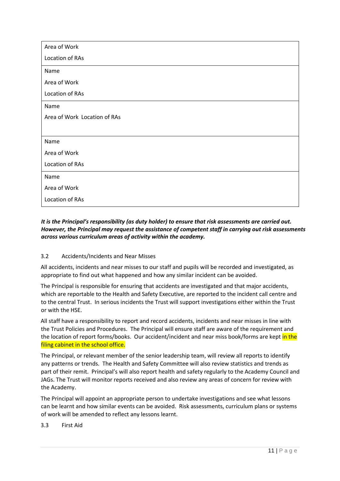| Area of Work                 |  |  |  |
|------------------------------|--|--|--|
| Location of RAs              |  |  |  |
| Name                         |  |  |  |
| Area of Work                 |  |  |  |
| Location of RAs              |  |  |  |
| Name                         |  |  |  |
| Area of Work Location of RAs |  |  |  |
|                              |  |  |  |
| Name                         |  |  |  |
| Area of Work                 |  |  |  |
| Location of RAs              |  |  |  |
| Name                         |  |  |  |
| Area of Work                 |  |  |  |
| Location of RAs              |  |  |  |

#### *It is the Principal's responsibility (as duty holder) to ensure that risk assessments are carried out. However, the Principal may request the assistance of competent staff in carrying out risk assessments across various curriculum areas of activity within the academy.*

#### 3.2 Accidents/Incidents and Near Misses

All accidents, incidents and near misses to our staff and pupils will be recorded and investigated, as appropriate to find out what happened and how any similar incident can be avoided.

The Principal is responsible for ensuring that accidents are investigated and that major accidents, which are reportable to the Health and Safety Executive, are reported to the incident call centre and to the central Trust. In serious incidents the Trust will support investigations either within the Trust or with the HSE.

All staff have a responsibility to report and record accidents, incidents and near misses in line with the Trust Policies and Procedures. The Principal will ensure staff are aware of the requirement and the location of report forms/books. Our accident/incident and near miss book/forms are kept in the filing cabinet in the school office.

The Principal, or relevant member of the senior leadership team, will review all reports to identify any patterns or trends. The Health and Safety Committee will also review statistics and trends as part of their remit. Principal's will also report health and safety regularly to the Academy Council and JAGs. The Trust will monitor reports received and also review any areas of concern for review with the Academy.

The Principal will appoint an appropriate person to undertake investigations and see what lessons can be learnt and how similar events can be avoided. Risk assessments, curriculum plans or systems of work will be amended to reflect any lessons learnt.

#### 3.3 First Aid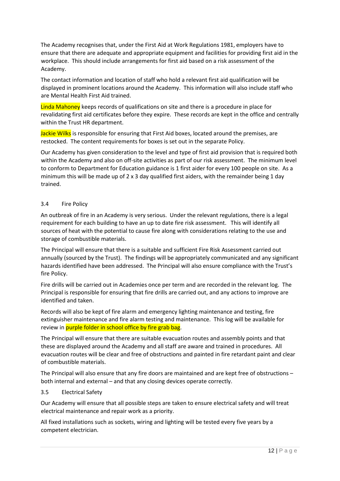The Academy recognises that, under the First Aid at Work Regulations 1981, employers have to ensure that there are adequate and appropriate equipment and facilities for providing first aid in the workplace. This should include arrangements for first aid based on a risk assessment of the Academy.

The contact information and location of staff who hold a relevant first aid qualification will be displayed in prominent locations around the Academy. This information will also include staff who are Mental Health First Aid trained.

Linda Mahoney keeps records of qualifications on site and there is a procedure in place for revalidating first aid certificates before they expire. These records are kept in the office and centrally within the Trust HR department.

Jackie Wilks is responsible for ensuring that First Aid boxes, located around the premises, are restocked. The content requirements for boxes is set out in the separate Policy.

Our Academy has given consideration to the level and type of first aid provision that is required both within the Academy and also on off-site activities as part of our risk assessment. The minimum level to conform to Department for Education guidance is 1 first aider for every 100 people on site. As a minimum this will be made up of  $2 \times 3$  day qualified first aiders, with the remainder being 1 day trained.

#### 3.4 Fire Policy

An outbreak of fire in an Academy is very serious. Under the relevant regulations, there is a legal requirement for each building to have an up to date fire risk assessment. This will identify all sources of heat with the potential to cause fire along with considerations relating to the use and storage of combustible materials.

The Principal will ensure that there is a suitable and sufficient Fire Risk Assessment carried out annually (sourced by the Trust). The findings will be appropriately communicated and any significant hazards identified have been addressed. The Principal will also ensure compliance with the Trust's fire Policy.

Fire drills will be carried out in Academies once per term and are recorded in the relevant log. The Principal is responsible for ensuring that fire drills are carried out, and any actions to improve are identified and taken.

Records will also be kept of fire alarm and emergency lighting maintenance and testing, fire extinguisher maintenance and fire alarm testing and maintenance. This log will be available for review in purple folder in school office by fire grab bag.

The Principal will ensure that there are suitable evacuation routes and assembly points and that these are displayed around the Academy and all staff are aware and trained in procedures. All evacuation routes will be clear and free of obstructions and painted in fire retardant paint and clear of combustible materials.

The Principal will also ensure that any fire doors are maintained and are kept free of obstructions – both internal and external – and that any closing devices operate correctly.

#### 3.5 Electrical Safety

Our Academy will ensure that all possible steps are taken to ensure electrical safety and will treat electrical maintenance and repair work as a priority.

All fixed installations such as sockets, wiring and lighting will be tested every five years by a competent electrician.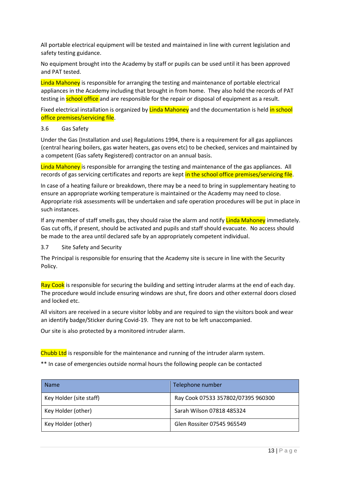All portable electrical equipment will be tested and maintained in line with current legislation and safety testing guidance.

No equipment brought into the Academy by staff or pupils can be used until it has been approved and PAT tested.

Linda Mahoney is responsible for arranging the testing and maintenance of portable electrical appliances in the Academy including that brought in from home. They also hold the records of PAT testing in **school office** and are responsible for the repair or disposal of equipment as a result.

Fixed electrical installation is organized by Linda Mahoney and the documentation is held in school office premises/servicing file.

#### 3.6 Gas Safety

Under the Gas (Installation and use) Regulations 1994, there is a requirement for all gas appliances (central hearing boilers, gas water heaters, gas ovens etc) to be checked, services and maintained by a competent (Gas safety Registered) contractor on an annual basis.

Linda Mahoney is responsible for arranging the testing and maintenance of the gas appliances. All records of gas servicing certificates and reports are kept in the school office premises/servicing file.

In case of a heating failure or breakdown, there may be a need to bring in supplementary heating to ensure an appropriate working temperature is maintained or the Academy may need to close. Appropriate risk assessments will be undertaken and safe operation procedures will be put in place in such instances.

If any member of staff smells gas, they should raise the alarm and notify Linda Mahoney immediately. Gas cut offs, if present, should be activated and pupils and staff should evacuate. No access should be made to the area until declared safe by an appropriately competent individual.

3.7 Site Safety and Security

The Principal is responsible for ensuring that the Academy site is secure in line with the Security Policy.

Ray Cook is responsible for securing the building and setting intruder alarms at the end of each day. The procedure would include ensuring windows are shut, fire doors and other external doors closed and locked etc.

All visitors are received in a secure visitor lobby and are required to sign the visitors book and wear an identify badge/Sticker during Covid-19. They are not to be left unaccompanied.

Our site is also protected by a monitored intruder alarm.

Chubb Ltd is responsible for the maintenance and running of the intruder alarm system.

\*\* In case of emergencies outside normal hours the following people can be contacted

| <b>Name</b>             | Telephone number                   |
|-------------------------|------------------------------------|
| Key Holder (site staff) | Ray Cook 07533 357802/07395 960300 |
| Key Holder (other)      | Sarah Wilson 07818 485324          |
| Key Holder (other)      | Glen Rossiter 07545 965549         |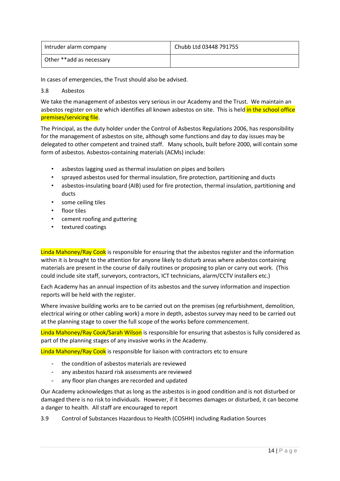| Intruder alarm company   | Chubb Ltd 03448 791755 |
|--------------------------|------------------------|
| Other **add as necessary |                        |

In cases of emergencies, the Trust should also be advised.

#### 3.8 Asbestos

We take the management of asbestos very serious in our Academy and the Trust. We maintain an asbestos register on site which identifies all known asbestos on site. This is held in the school office premises/servicing file.

The Principal, as the duty holder under the Control of Asbestos Regulations 2006, has responsibility for the management of asbestos on site, although some functions and day to day issues may be delegated to other competent and trained staff. Many schools, built before 2000, will contain some form of asbestos. Asbestos-containing materials (ACMs) include:

- asbestos lagging used as thermal insulation on pipes and boilers
- sprayed asbestos used for thermal insulation, fire protection, partitioning and ducts
- asbestos-insulating board (AIB) used for fire protection, thermal insulation, partitioning and ducts
- some ceiling tiles
- floor tiles
- cement roofing and guttering
- textured coatings

Linda Mahoney/Ray Cook is responsible for ensuring that the asbestos register and the information within it is brought to the attention for anyone likely to disturb areas where asbestos containing materials are present in the course of daily routines or proposing to plan or carry out work. (This could include site staff, surveyors, contractors, ICT technicians, alarm/CCTV installers etc.)

Each Academy has an annual inspection of its asbestos and the survey information and inspection reports will be held with the register.

Where invasive building works are to be carried out on the premises (eg refurbishment, demolition, electrical wiring or other cabling work) a more in depth, asbestos survey may need to be carried out at the planning stage to cover the full scope of the works before commencement.

Linda Mahoney/Ray Cook/Sarah Wilson is responsible for ensuring that asbestos is fully considered as part of the planning stages of any invasive works in the Academy.

Linda Mahoney/Ray Cook is responsible for liaison with contractors etc to ensure

- the condition of asbestos materials are reviewed
- any asbestos hazard risk assessments are reviewed
- any floor plan changes are recorded and updated

Our Academy acknowledges that as long as the asbestos is in good condition and is not disturbed or damaged there is no risk to individuals. However, if it becomes damages or disturbed, it can become a danger to health. All staff are encouraged to report

3.9 Control of Substances Hazardous to Health (COSHH) including Radiation Sources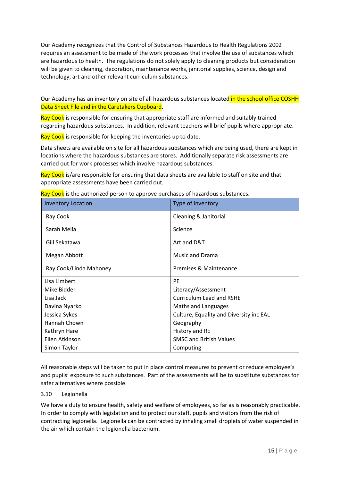Our Academy recognizes that the Control of Substances Hazardous to Health Regulations 2002 requires an assessment to be made of the work processes that involve the use of substances which are hazardous to health. The regulations do not solely apply to cleaning products but consideration will be given to cleaning, decoration, maintenance works, janitorial supplies, science, design and technology, art and other relevant curriculum substances.

Our Academy has an inventory on site of all hazardous substances located in the school office COSHH Data Sheet File and in the Caretakers Cupboard.

Ray Cook is responsible for ensuring that appropriate staff are informed and suitably trained regarding hazardous substances. In addition, relevant teachers will brief pupils where appropriate.

Ray Cook is responsible for keeping the inventories up to date.

Data sheets are available on site for all hazardous substances which are being used, there are kept in locations where the hazardous substances are stores. Additionally separate risk assessments are carried out for work processes which involve hazardous substances.

Ray Cook is/are responsible for ensuring that data sheets are available to staff on site and that appropriate assessments have been carried out.

| <b>Inventory Location</b> | Type of Inventory                       |
|---------------------------|-----------------------------------------|
| Ray Cook                  | Cleaning & Janitorial                   |
| Sarah Melia               | Science                                 |
| Gill Sekatawa             | Art and D&T                             |
| Megan Abbott              | <b>Music and Drama</b>                  |
| Ray Cook/Linda Mahoney    | Premises & Maintenance                  |
| Lisa Limbert              | <b>PE</b>                               |
| Mike Bidder               | Literacy/Assessment                     |
| Lisa Jack                 | <b>Curriculum Lead and RSHE</b>         |
| Davina Nyarko             | Maths and Languages                     |
| Jessica Sykes             | Culture, Equality and Diversity inc EAL |
| Hannah Chown              | Geography                               |
| Kathryn Hare              | History and RE                          |
| Ellen Atkinson            | <b>SMSC and British Values</b>          |
|                           |                                         |

Ray Cook is the authorized person to approve purchases of hazardous substances.

All reasonable steps will be taken to put in place control measures to prevent or reduce employee's and pupils' exposure to such substances. Part of the assessments will be to substitute substances for safer alternatives where possible.

#### 3.10 Legionella

We have a duty to ensure health, safety and welfare of employees, so far as is reasonably practicable. In order to comply with legislation and to protect our staff, pupils and visitors from the risk of contracting legionella. Legionella can be contracted by inhaling small droplets of water suspended in the air which contain the legionella bacterium.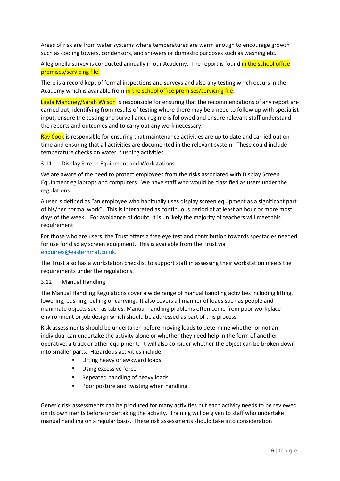Areas of risk are from water systems where temperatures are warm enough to encourage growth such as cooling towers, condensors, and showers or domestic purposes such as washing etc.

A legionella survey is conducted annually in our Academy. The report is found in the school office premises/servicing file.

There is a record kept of formal inspections and surveys and also any testing which occurs in the Academy which is available from in the school office premises/servicing file.

Linda Mahoney/Sarah Wilson is responsible for ensuring that the recommendations of any report are carried out; identifying from results of testing where there may be a need to follow up with specialist input; ensure the testing and surveillance regime is followed and ensure relevant staff understand the reports and outcomes and to carry out any work necessary.

Ray Cook is responsible for ensuring that maintenance activities are up to date and carried out on time and ensuring that all activities are documented in the relevant system. These could include temperature checks on water, flushing activities.

3.11 Display Screen Equipment and Workstations

We are aware of the need to protect employees from the risks associated with Display Screen Equipment eg laptops and computers. We have staff who would be classified as users under the regulations.

A user is defined as "an employee who habitually uses display screen equipment as a significant part of his/her normal work". This is interpreted as continuous period of at least an hour or more most days of the week. For avoidance of doubt, it is unlikely the majority of teachers will meet this requirement.

For those who are users, the Trust offers a free eye test and contribution towards spectacles needed for use for display screen equipment. This is available from the Trust via enquiries@easternmat.co.uk.

The Trust also has a workstation checklist to support staff in assessing their workstation meets the requirements under the regulations.

#### 3.12 Manual Handling

The Manual Handling Regulations cover a wide range of manual handling activities including lifting, lowering, pushing, pulling or carrying. It also covers all manner of loads such as people and inanimate objects such as tables. Manual handling problems often come from poor workplace environment or job design which should be addressed as part of this process.

Risk assessments should be undertaken before moving loads to determine whether or not an individual can undertake the activity alone or whether they need help in the form of another operative, a truck or other equipment. It will also consider whether the object can be broken down into smaller parts. Hazardous activities include:

- **E** Lifting heavy or awkward loads
- **Using excessive force**
- Repeated handling of heavy loads
- **Poor posture and twisting when handling**

Generic risk assessments can be produced for many activities but each activity needs to be reviewed on its own merits before undertaking the activity. Training will be given to staff who undertake manual handling on a regular basis. These risk assessments should take into consideration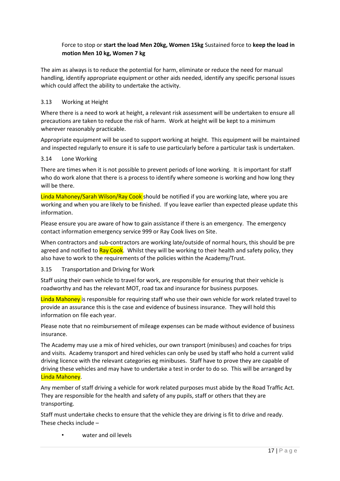#### Force to stop or **start the load Men 20kg, Women 15kg** Sustained force to **keep the load in motion Men 10 kg, Women 7 kg**

The aim as always is to reduce the potential for harm, eliminate or reduce the need for manual handling, identify appropriate equipment or other aids needed, identify any specific personal issues which could affect the ability to undertake the activity.

#### 3.13 Working at Height

Where there is a need to work at height, a relevant risk assessment will be undertaken to ensure all precautions are taken to reduce the risk of harm. Work at height will be kept to a minimum wherever reasonably practicable.

Appropriate equipment will be used to support working at height. This equipment will be maintained and inspected regularly to ensure it is safe to use particularly before a particular task is undertaken.

#### 3.14 Lone Working

There are times when it is not possible to prevent periods of lone working. It is important for staff who do work alone that there is a process to identify where someone is working and how long they will be there.

Linda Mahoney/Sarah Wilson/Ray Cook should be notified if you are working late, where you are working and when you are likely to be finished. If you leave earlier than expected please update this information.

Please ensure you are aware of how to gain assistance if there is an emergency. The emergency contact information emergency service 999 or Ray Cook lives on Site.

When contractors and sub-contractors are working late/outside of normal hours, this should be pre agreed and notified to Ray Cook. Whilst they will be working to their health and safety policy, they also have to work to the requirements of the policies within the Academy/Trust.

#### 3.15 Transportation and Driving for Work

Staff using their own vehicle to travel for work, are responsible for ensuring that their vehicle is roadworthy and has the relevant MOT, road tax and insurance for business purposes.

Linda Mahoney is responsible for requiring staff who use their own vehicle for work related travel to provide an assurance this is the case and evidence of business insurance. They will hold this information on file each year.

Please note that no reimbursement of mileage expenses can be made without evidence of business insurance.

The Academy may use a mix of hired vehicles, our own transport (minibuses) and coaches for trips and visits. Academy transport and hired vehicles can only be used by staff who hold a current valid driving licence with the relevant categories eg minibuses. Staff have to prove they are capable of driving these vehicles and may have to undertake a test in order to do so. This will be arranged by Linda Mahoney.

Any member of staff driving a vehicle for work related purposes must abide by the Road Traffic Act. They are responsible for the health and safety of any pupils, staff or others that they are transporting.

Staff must undertake checks to ensure that the vehicle they are driving is fit to drive and ready. These checks include –

• water and oil levels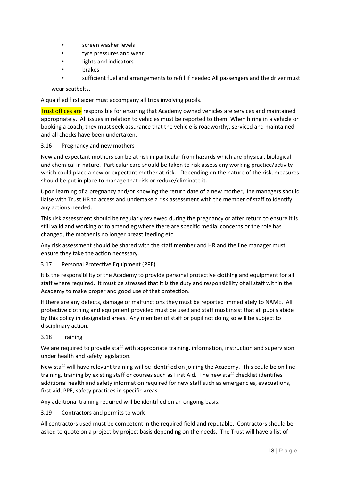- screen washer levels
- tyre pressures and wear
- lights and indicators
- **brakes**
- sufficient fuel and arrangements to refill if needed All passengers and the driver must

wear seatbelts.

A qualified first aider must accompany all trips involving pupils.

Trust offices are responsible for ensuring that Academy owned vehicles are services and maintained appropriately. All issues in relation to vehicles must be reported to them. When hiring in a vehicle or booking a coach, they must seek assurance that the vehicle is roadworthy, serviced and maintained and all checks have been undertaken.

#### 3.16 Pregnancy and new mothers

New and expectant mothers can be at risk in particular from hazards which are physical, biological and chemical in nature. Particular care should be taken to risk assess any working practice/activity which could place a new or expectant mother at risk. Depending on the nature of the risk, measures should be put in place to manage that risk or reduce/eliminate it.

Upon learning of a pregnancy and/or knowing the return date of a new mother, line managers should liaise with Trust HR to access and undertake a risk assessment with the member of staff to identify any actions needed.

This risk assessment should be regularly reviewed during the pregnancy or after return to ensure it is still valid and working or to amend eg where there are specific medial concerns or the role has changed, the mother is no longer breast feeding etc.

Any risk assessment should be shared with the staff member and HR and the line manager must ensure they take the action necessary.

#### 3.17 Personal Protective Equipment (PPE)

It is the responsibility of the Academy to provide personal protective clothing and equipment for all staff where required. It must be stressed that it is the duty and responsibility of all staff within the Academy to make proper and good use of that protection.

If there are any defects, damage or malfunctions they must be reported immediately to NAME. All protective clothing and equipment provided must be used and staff must insist that all pupils abide by this policy in designated areas. Any member of staff or pupil not doing so will be subject to disciplinary action.

#### 3.18 Training

We are required to provide staff with appropriate training, information, instruction and supervision under health and safety legislation.

New staff will have relevant training will be identified on joining the Academy. This could be on line training, training by existing staff or courses such as First Aid. The new staff checklist identifies additional health and safety information required for new staff such as emergencies, evacuations, first aid, PPE, safety practices in specific areas.

Any additional training required will be identified on an ongoing basis.

#### 3.19 Contractors and permits to work

All contractors used must be competent in the required field and reputable. Contractors should be asked to quote on a project by project basis depending on the needs. The Trust will have a list of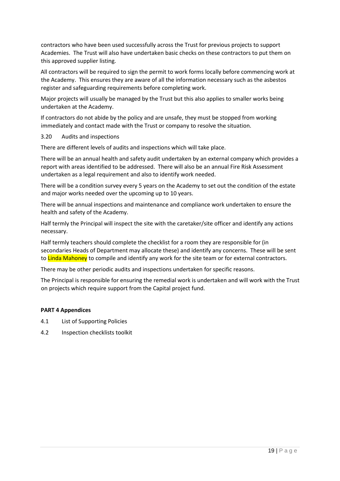contractors who have been used successfully across the Trust for previous projects to support Academies. The Trust will also have undertaken basic checks on these contractors to put them on this approved supplier listing.

All contractors will be required to sign the permit to work forms locally before commencing work at the Academy. This ensures they are aware of all the information necessary such as the asbestos register and safeguarding requirements before completing work.

Major projects will usually be managed by the Trust but this also applies to smaller works being undertaken at the Academy.

If contractors do not abide by the policy and are unsafe, they must be stopped from working immediately and contact made with the Trust or company to resolve the situation.

#### 3.20 Audits and inspections

There are different levels of audits and inspections which will take place.

There will be an annual health and safety audit undertaken by an external company which provides a report with areas identified to be addressed. There will also be an annual Fire Risk Assessment undertaken as a legal requirement and also to identify work needed.

There will be a condition survey every 5 years on the Academy to set out the condition of the estate and major works needed over the upcoming up to 10 years.

There will be annual inspections and maintenance and compliance work undertaken to ensure the health and safety of the Academy.

Half termly the Principal will inspect the site with the caretaker/site officer and identify any actions necessary.

Half termly teachers should complete the checklist for a room they are responsible for (in secondaries Heads of Department may allocate these) and identify any concerns. These will be sent to Linda Mahoney to compile and identify any work for the site team or for external contractors.

There may be other periodic audits and inspections undertaken for specific reasons.

The Principal is responsible for ensuring the remedial work is undertaken and will work with the Trust on projects which require support from the Capital project fund.

#### **PART 4 Appendices**

- 4.1 List of Supporting Policies
- 4.2 Inspection checklists toolkit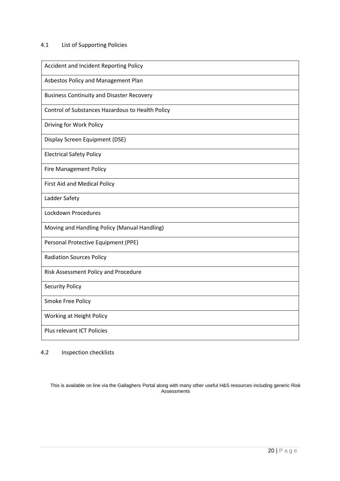#### 4.1 List of Supporting Policies

| Accident and Incident Reporting Policy           |
|--------------------------------------------------|
| Asbestos Policy and Management Plan              |
| <b>Business Continuity and Disaster Recovery</b> |
| Control of Substances Hazardous to Health Policy |
| Driving for Work Policy                          |
| Display Screen Equipment (DSE)                   |
| <b>Electrical Safety Policy</b>                  |
| <b>Fire Management Policy</b>                    |
| First Aid and Medical Policy                     |
| Ladder Safety                                    |
| Lockdown Procedures                              |
| Moving and Handling Policy (Manual Handling)     |
| Personal Protective Equipment (PPE)              |
| <b>Radiation Sources Policy</b>                  |
| Risk Assessment Policy and Procedure             |
| <b>Security Policy</b>                           |
| Smoke Free Policy                                |
| Working at Height Policy                         |
| Plus relevant ICT Policies                       |

4.2 Inspection checklists

This is available on line via the Gallaghers Portal along with many other useful H&S resources including generic Risk Assessments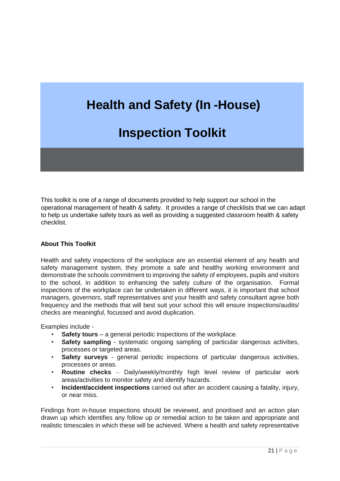# **Health and Safety (In -House)**

# **Inspection Toolkit**

This toolkit is one of a range of documents provided to help support our school in the operational management of health & safety. It provides a range of checklists that we can adapt to help us undertake safety tours as well as providing a suggested classroom health & safety checklist.

#### **About This Toolkit**

Health and safety inspections of the workplace are an essential element of any health and safety management system, they promote a safe and healthy working environment and demonstrate the schools commitment to improving the safety of employees, pupils and visitors to the school, in addition to enhancing the safety culture of the organisation. Formal inspections of the workplace can be undertaken in different ways, it is important that school managers, governors, staff representatives and your health and safety consultant agree both frequency and the methods that will best suit your school this will ensure inspections/audits/ checks are meaningful, focussed and avoid duplication.

Examples include -

- **Safety tours** a general periodic inspections of the workplace.
- **Safety sampling** systematic ongoing sampling of particular dangerous activities, processes or targeted areas.
- **Safety surveys** general periodic inspections of particular dangerous activities, processes or areas.
- **Routine checks**  Daily/weekly/monthly high level review of particular work areas/activities to monitor safety and identify hazards.
- **Incident/accident inspections** carried out after an accident causing a fatality, injury, or near miss.

Findings from in-house inspections should be reviewed, and prioritised and an action plan drawn up which identifies any follow up or remedial action to be taken and appropriate and realistic timescales in which these will be achieved. Where a health and safety representative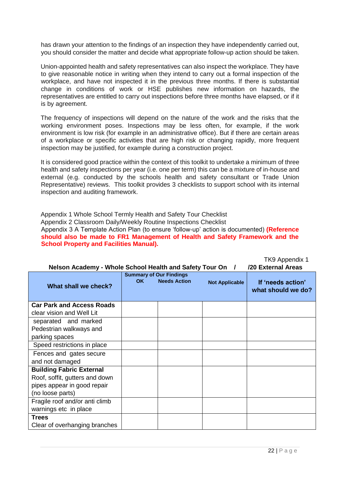has drawn your attention to the findings of an inspection they have independently carried out, you should consider the matter and decide what appropriate follow-up action should be taken.

Union-appointed health and safety representatives can also inspect the workplace. They have to give reasonable notice in writing when they intend to carry out a formal inspection of the workplace, and have not inspected it in the previous three months. If there is substantial change in conditions of work or HSE publishes new information on hazards, the representatives are entitled to carry out inspections before three months have elapsed, or if it is by agreement.

The frequency of inspections will depend on the nature of the work and the risks that the working environment poses. Inspections may be less often, for example, if the work environment is low risk (for example in an administrative office). But if there are certain areas of a workplace or specific activities that are high risk or changing rapidly, more frequent inspection may be justified, for example during a construction project.

It is considered good practice within the context of this toolkit to undertake a minimum of three health and safety inspections per year (i.e. one per term) this can be a mixture of in-house and external (e.g. conducted by the schools health and safety consultant or Trade Union Representative) reviews. This toolkit provides 3 checklists to support school with its internal inspection and auditing framework.

Appendix 1 Whole School Termly Health and Safety Tour Checklist Appendix 2 Classroom Daily/Weekly Routine Inspections Checklist Appendix 3 A Template Action Plan (to ensure 'follow-up' action is documented) **(Reference should also be made to FR1 Management of Health and Safety Framework and the School Property and Facilities Manual).** 

| $111011$ PPV $1011$<br>/20 External Areas<br>Nelson Academy - Whole School Health and Safety Tour On / |     |                                                       |                       |                                         |
|--------------------------------------------------------------------------------------------------------|-----|-------------------------------------------------------|-----------------------|-----------------------------------------|
| What shall we check?                                                                                   | OK. | <b>Summary of Our Findings</b><br><b>Needs Action</b> | <b>Not Applicable</b> | If 'needs action'<br>what should we do? |
| <b>Car Park and Access Roads</b>                                                                       |     |                                                       |                       |                                         |
| clear vision and Well Lit                                                                              |     |                                                       |                       |                                         |
| separated and marked                                                                                   |     |                                                       |                       |                                         |
| Pedestrian walkways and                                                                                |     |                                                       |                       |                                         |
| parking spaces                                                                                         |     |                                                       |                       |                                         |
| Speed restrictions in place                                                                            |     |                                                       |                       |                                         |
| Fences and gates secure                                                                                |     |                                                       |                       |                                         |
| and not damaged                                                                                        |     |                                                       |                       |                                         |
| <b>Building Fabric External</b>                                                                        |     |                                                       |                       |                                         |
| Roof, soffit, gutters and down                                                                         |     |                                                       |                       |                                         |
| pipes appear in good repair                                                                            |     |                                                       |                       |                                         |
| (no loose parts)                                                                                       |     |                                                       |                       |                                         |
| Fragile roof and/or anti climb                                                                         |     |                                                       |                       |                                         |
| warnings etc in place                                                                                  |     |                                                       |                       |                                         |
| <b>Trees</b>                                                                                           |     |                                                       |                       |                                         |
| Clear of overhanging branches                                                                          |     |                                                       |                       |                                         |

TKQ Annandiv 1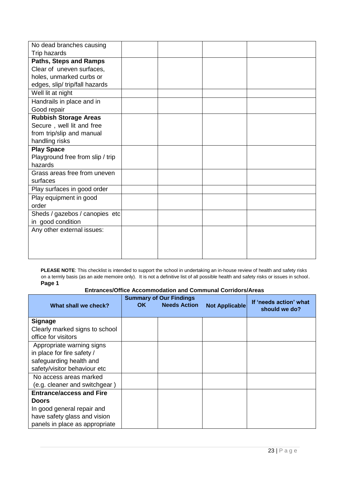| No dead branches causing         |  |  |
|----------------------------------|--|--|
| Trip hazards                     |  |  |
| <b>Paths, Steps and Ramps</b>    |  |  |
| Clear of uneven surfaces,        |  |  |
| holes, unmarked curbs or         |  |  |
| edges, slip/ trip/fall hazards   |  |  |
| Well lit at night                |  |  |
| Handrails in place and in        |  |  |
| Good repair                      |  |  |
| <b>Rubbish Storage Areas</b>     |  |  |
| Secure, well lit and free        |  |  |
| from trip/slip and manual        |  |  |
| handling risks                   |  |  |
| <b>Play Space</b>                |  |  |
| Playground free from slip / trip |  |  |
| hazards                          |  |  |
| Grass areas free from uneven     |  |  |
| surfaces                         |  |  |
| Play surfaces in good order      |  |  |
| Play equipment in good           |  |  |
| order                            |  |  |
| Sheds / gazebos / canopies etc   |  |  |
| in good condition                |  |  |
| Any other external issues:       |  |  |
|                                  |  |  |
|                                  |  |  |
|                                  |  |  |

**PLEASE NOTE**: This checklist is intended to support the school in undertaking an in-house review of health and safety risks on a termly basis (as an aide memoire only). It is not a definitive list of all possible health and safety risks or issues in school. **Page 1** 

#### **Entrances/Office Accommodation and Communal Corridors/Areas**

|                                 |     | <b>Summary of Our Findings</b> |                | If 'needs action' what |
|---------------------------------|-----|--------------------------------|----------------|------------------------|
| What shall we check?            | OK. | <b>Needs Action</b>            | Not Applicable | should we do?          |
|                                 |     |                                |                |                        |
| <b>Signage</b>                  |     |                                |                |                        |
| Clearly marked signs to school  |     |                                |                |                        |
| office for visitors             |     |                                |                |                        |
| Appropriate warning signs       |     |                                |                |                        |
| in place for fire safety /      |     |                                |                |                        |
| safeguarding health and         |     |                                |                |                        |
| safety/visitor behaviour etc    |     |                                |                |                        |
| No access areas marked          |     |                                |                |                        |
| (e.g. cleaner and switchgear)   |     |                                |                |                        |
| <b>Entrance/access and Fire</b> |     |                                |                |                        |
| <b>Doors</b>                    |     |                                |                |                        |
| In good general repair and      |     |                                |                |                        |
| have safety glass and vision    |     |                                |                |                        |
| panels in place as appropriate  |     |                                |                |                        |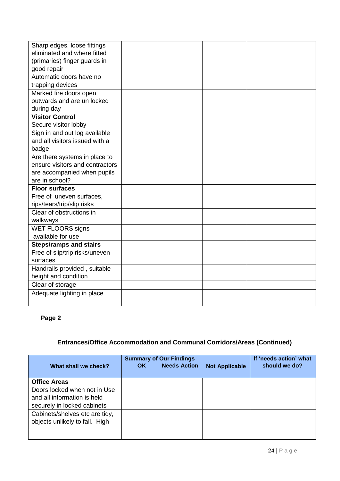| Sharp edges, loose fittings     |  |  |
|---------------------------------|--|--|
| eliminated and where fitted     |  |  |
| (primaries) finger guards in    |  |  |
| good repair                     |  |  |
| Automatic doors have no         |  |  |
| trapping devices                |  |  |
| Marked fire doors open          |  |  |
| outwards and are un locked      |  |  |
| during day                      |  |  |
| <b>Visitor Control</b>          |  |  |
| Secure visitor lobby            |  |  |
| Sign in and out log available   |  |  |
| and all visitors issued with a  |  |  |
| badge                           |  |  |
| Are there systems in place to   |  |  |
| ensure visitors and contractors |  |  |
| are accompanied when pupils     |  |  |
| are in school?                  |  |  |
| <b>Floor surfaces</b>           |  |  |
| Free of uneven surfaces,        |  |  |
| rips/tears/trip/slip risks      |  |  |
| Clear of obstructions in        |  |  |
| walkways                        |  |  |
| <b>WET FLOORS signs</b>         |  |  |
| available for use               |  |  |
| <b>Steps/ramps and stairs</b>   |  |  |
| Free of slip/trip risks/uneven  |  |  |
| surfaces                        |  |  |
| Handrails provided, suitable    |  |  |
| height and condition            |  |  |
| Clear of storage                |  |  |
| Adequate lighting in place      |  |  |
|                                 |  |  |

# **Page 2**

# **Entrances/Office Accommodation and Communal Corridors/Areas (Continued)**

| What shall we check?                                                                                              | OK. | <b>Summary of Our Findings</b><br><b>Needs Action</b> | <b>Not Applicable</b> | If 'needs action' what<br>should we do? |
|-------------------------------------------------------------------------------------------------------------------|-----|-------------------------------------------------------|-----------------------|-----------------------------------------|
| <b>Office Areas</b><br>Doors locked when not in Use<br>and all information is held<br>securely in locked cabinets |     |                                                       |                       |                                         |
| Cabinets/shelves etc are tidy,<br>objects unlikely to fall. High                                                  |     |                                                       |                       |                                         |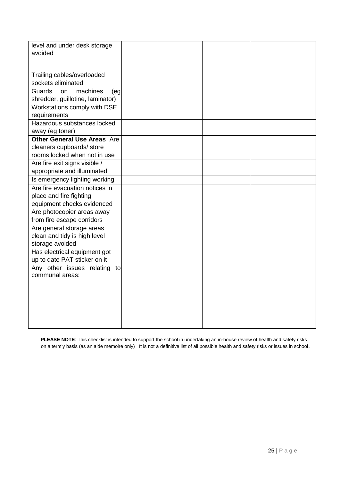| level and under desk storage<br>avoided                                                         |  |  |
|-------------------------------------------------------------------------------------------------|--|--|
| Trailing cables/overloaded<br>sockets eliminated                                                |  |  |
| Guards<br>machines<br>on<br>(eg<br>shredder, guillotine, laminator)                             |  |  |
| Workstations comply with DSE<br>requirements                                                    |  |  |
| Hazardous substances locked<br>away (eg toner)                                                  |  |  |
| <b>Other General Use Areas Are</b><br>cleaners cupboards/ store<br>rooms locked when not in use |  |  |
| Are fire exit signs visible /<br>appropriate and illuminated                                    |  |  |
| Is emergency lighting working                                                                   |  |  |
| Are fire evacuation notices in<br>place and fire fighting<br>equipment checks evidenced         |  |  |
| Are photocopier areas away<br>from fire escape corridors                                        |  |  |
| Are general storage areas<br>clean and tidy is high level<br>storage avoided                    |  |  |
| Has electrical equipment got<br>up to date PAT sticker on it                                    |  |  |
| Any other issues relating<br>to<br>communal areas:                                              |  |  |
|                                                                                                 |  |  |

**PLEASE NOTE**: This checklist is intended to support the school in undertaking an in-house review of health and safety risks on a termly basis (as an aide memoire only) It is not a definitive list of all possible health and safety risks or issues in school.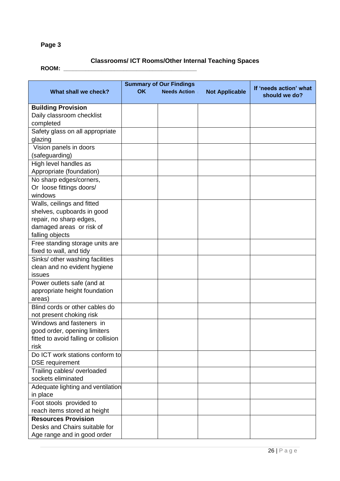# **Page 3**

### **Classrooms/ ICT Rooms/Other Internal Teaching Spaces ROOM: \_\_\_\_\_\_\_\_\_\_\_\_\_\_\_\_\_\_\_\_\_\_\_\_\_\_\_\_\_\_\_\_\_\_\_\_\_\_\_\_\_\_**

| What shall we check?                 | <b>OK</b> | <b>Summary of Our Findings</b><br><b>Needs Action</b> | <b>Not Applicable</b> | If 'needs action' what<br>should we do? |
|--------------------------------------|-----------|-------------------------------------------------------|-----------------------|-----------------------------------------|
| <b>Building Provision</b>            |           |                                                       |                       |                                         |
| Daily classroom checklist            |           |                                                       |                       |                                         |
| completed                            |           |                                                       |                       |                                         |
| Safety glass on all appropriate      |           |                                                       |                       |                                         |
| glazing                              |           |                                                       |                       |                                         |
| Vision panels in doors               |           |                                                       |                       |                                         |
| (safeguarding)                       |           |                                                       |                       |                                         |
| High level handles as                |           |                                                       |                       |                                         |
| Appropriate (foundation)             |           |                                                       |                       |                                         |
| No sharp edges/corners,              |           |                                                       |                       |                                         |
| Or loose fittings doors/             |           |                                                       |                       |                                         |
| windows                              |           |                                                       |                       |                                         |
| Walls, ceilings and fitted           |           |                                                       |                       |                                         |
| shelves, cupboards in good           |           |                                                       |                       |                                         |
| repair, no sharp edges,              |           |                                                       |                       |                                         |
| damaged areas or risk of             |           |                                                       |                       |                                         |
| falling objects                      |           |                                                       |                       |                                         |
| Free standing storage units are      |           |                                                       |                       |                                         |
| fixed to wall, and tidy              |           |                                                       |                       |                                         |
| Sinks/ other washing facilities      |           |                                                       |                       |                                         |
| clean and no evident hygiene         |           |                                                       |                       |                                         |
| issues                               |           |                                                       |                       |                                         |
| Power outlets safe (and at           |           |                                                       |                       |                                         |
| appropriate height foundation        |           |                                                       |                       |                                         |
| areas)                               |           |                                                       |                       |                                         |
| Blind cords or other cables do       |           |                                                       |                       |                                         |
| not present choking risk             |           |                                                       |                       |                                         |
| Windows and fasteners in             |           |                                                       |                       |                                         |
| good order, opening limiters         |           |                                                       |                       |                                         |
| fitted to avoid falling or collision |           |                                                       |                       |                                         |
| risk                                 |           |                                                       |                       |                                         |
| Do ICT work stations conform to      |           |                                                       |                       |                                         |
| <b>DSE</b> requirement               |           |                                                       |                       |                                         |
| Trailing cables/ overloaded          |           |                                                       |                       |                                         |
| sockets eliminated                   |           |                                                       |                       |                                         |
| Adequate lighting and ventilation    |           |                                                       |                       |                                         |
| in place                             |           |                                                       |                       |                                         |
| Foot stools provided to              |           |                                                       |                       |                                         |
| reach items stored at height         |           |                                                       |                       |                                         |
| <b>Resources Provision</b>           |           |                                                       |                       |                                         |
| Desks and Chairs suitable for        |           |                                                       |                       |                                         |
| Age range and in good order          |           |                                                       |                       |                                         |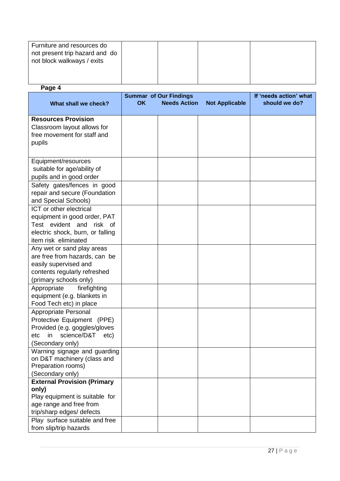| Furniture and resources do<br>not present trip hazard and do<br>not block walkways / exits |  |  |
|--------------------------------------------------------------------------------------------|--|--|
|                                                                                            |  |  |

#### **Page 4**

|                                    | <b>Summar of Our Findings</b> |  |                     | If 'needs action' what |               |
|------------------------------------|-------------------------------|--|---------------------|------------------------|---------------|
| What shall we check?               | <b>OK</b>                     |  | <b>Needs Action</b> | <b>Not Applicable</b>  | should we do? |
|                                    |                               |  |                     |                        |               |
| <b>Resources Provision</b>         |                               |  |                     |                        |               |
| Classroom layout allows for        |                               |  |                     |                        |               |
| free movement for staff and        |                               |  |                     |                        |               |
| pupils                             |                               |  |                     |                        |               |
|                                    |                               |  |                     |                        |               |
|                                    |                               |  |                     |                        |               |
| Equipment/resources                |                               |  |                     |                        |               |
| suitable for age/ability of        |                               |  |                     |                        |               |
| pupils and in good order           |                               |  |                     |                        |               |
| Safety gates/fences in good        |                               |  |                     |                        |               |
| repair and secure (Foundation      |                               |  |                     |                        |               |
| and Special Schools)               |                               |  |                     |                        |               |
| ICT or other electrical            |                               |  |                     |                        |               |
| equipment in good order, PAT       |                               |  |                     |                        |               |
| Test evident and risk of           |                               |  |                     |                        |               |
| electric shock, burn, or falling   |                               |  |                     |                        |               |
| item risk eliminated               |                               |  |                     |                        |               |
| Any wet or sand play areas         |                               |  |                     |                        |               |
| are free from hazards, can be      |                               |  |                     |                        |               |
| easily supervised and              |                               |  |                     |                        |               |
| contents regularly refreshed       |                               |  |                     |                        |               |
| (primary schools only)             |                               |  |                     |                        |               |
| Appropriate<br>firefighting        |                               |  |                     |                        |               |
| equipment (e.g. blankets in        |                               |  |                     |                        |               |
| Food Tech etc) in place            |                               |  |                     |                        |               |
| Appropriate Personal               |                               |  |                     |                        |               |
| Protective Equipment (PPE)         |                               |  |                     |                        |               |
| Provided (e.g. goggles/gloves      |                               |  |                     |                        |               |
| science/D&T<br>in<br>etc<br>etc)   |                               |  |                     |                        |               |
| (Secondary only)                   |                               |  |                     |                        |               |
| Warning signage and guarding       |                               |  |                     |                        |               |
| on D&T machinery (class and        |                               |  |                     |                        |               |
| Preparation rooms)                 |                               |  |                     |                        |               |
| (Secondary only)                   |                               |  |                     |                        |               |
| <b>External Provision (Primary</b> |                               |  |                     |                        |               |
| only)                              |                               |  |                     |                        |               |
| Play equipment is suitable for     |                               |  |                     |                        |               |
| age range and free from            |                               |  |                     |                        |               |
| trip/sharp edges/ defects          |                               |  |                     |                        |               |
| Play surface suitable and free     |                               |  |                     |                        |               |
| from slip/trip hazards             |                               |  |                     |                        |               |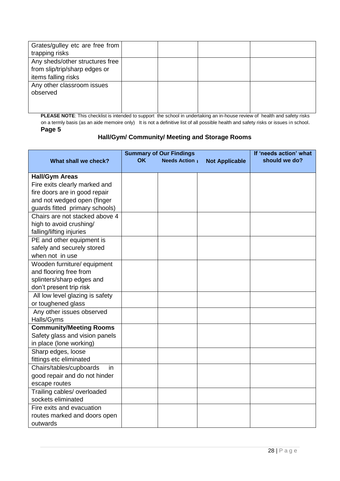| Grates/gulley etc are free from |  |  |
|---------------------------------|--|--|
| trapping risks                  |  |  |
| Any sheds/other structures free |  |  |
| from slip/trip/sharp edges or   |  |  |
| items falling risks             |  |  |
| Any other classroom issues      |  |  |
| observed                        |  |  |
|                                 |  |  |
|                                 |  |  |

**PLEASE NOTE:** This checklist is intended to support the school in undertaking an in-house review of health and safety risks on a termly basis (as an aide memoire only) It is not a definitive list of all possible health and safety risks or issues in school. **Page 5** 

#### **Hall/Gym/ Community/ Meeting and Storage Rooms**

|                                 | <b>Summary of Our Findings</b> |                     |                       | If 'needs action' what |
|---------------------------------|--------------------------------|---------------------|-----------------------|------------------------|
| What shall we check?            | <b>OK</b>                      | <b>Needs Action</b> | <b>Not Applicable</b> | should we do?          |
|                                 |                                |                     |                       |                        |
| <b>Hall/Gym Areas</b>           |                                |                     |                       |                        |
| Fire exits clearly marked and   |                                |                     |                       |                        |
| fire doors are in good repair   |                                |                     |                       |                        |
| and not wedged open (finger     |                                |                     |                       |                        |
| guards fitted primary schools)  |                                |                     |                       |                        |
| Chairs are not stacked above 4  |                                |                     |                       |                        |
| high to avoid crushing/         |                                |                     |                       |                        |
| falling/lifting injuries        |                                |                     |                       |                        |
| PE and other equipment is       |                                |                     |                       |                        |
| safely and securely stored      |                                |                     |                       |                        |
| when not in use                 |                                |                     |                       |                        |
| Wooden furniture/ equipment     |                                |                     |                       |                        |
| and flooring free from          |                                |                     |                       |                        |
| splinters/sharp edges and       |                                |                     |                       |                        |
| don't present trip risk         |                                |                     |                       |                        |
| All low level glazing is safety |                                |                     |                       |                        |
| or toughened glass              |                                |                     |                       |                        |
| Any other issues observed       |                                |                     |                       |                        |
| Halls/Gyms                      |                                |                     |                       |                        |
| <b>Community/Meeting Rooms</b>  |                                |                     |                       |                        |
| Safety glass and vision panels  |                                |                     |                       |                        |
| in place (lone working)         |                                |                     |                       |                        |
| Sharp edges, loose              |                                |                     |                       |                        |
| fittings etc eliminated         |                                |                     |                       |                        |
| Chairs/tables/cupboards<br>in   |                                |                     |                       |                        |
| good repair and do not hinder   |                                |                     |                       |                        |
| escape routes                   |                                |                     |                       |                        |
| Trailing cables/ overloaded     |                                |                     |                       |                        |
| sockets eliminated              |                                |                     |                       |                        |
| Fire exits and evacuation       |                                |                     |                       |                        |
| routes marked and doors open    |                                |                     |                       |                        |
| outwards                        |                                |                     |                       |                        |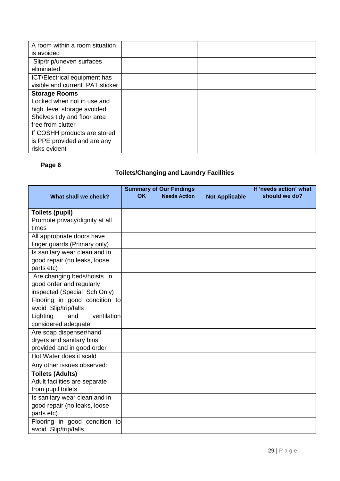| A room within a room situation  |  |  |
|---------------------------------|--|--|
| is avoided                      |  |  |
| Slip/trip/uneven surfaces       |  |  |
| eliminated                      |  |  |
| ICT/Electrical equipment has    |  |  |
| visible and current PAT sticker |  |  |
| <b>Storage Rooms</b>            |  |  |
| Locked when not in use and      |  |  |
| high level storage avoided      |  |  |
| Shelves tidy and floor area     |  |  |
| free from clutter               |  |  |
| If COSHH products are stored    |  |  |
| is PPE provided and are any     |  |  |
| risks evident                   |  |  |

# **Page 6**

# **Toilets/Changing and Laundry Facilities**

|                                | <b>Summary of Our Findings</b> |                     |                       | If 'needs action' what |
|--------------------------------|--------------------------------|---------------------|-----------------------|------------------------|
| What shall we check?           | <b>OK</b>                      | <b>Needs Action</b> | <b>Not Applicable</b> | should we do?          |
|                                |                                |                     |                       |                        |
| <b>Toilets (pupil)</b>         |                                |                     |                       |                        |
| Promote privacy/dignity at all |                                |                     |                       |                        |
| times                          |                                |                     |                       |                        |
| All appropriate doors have     |                                |                     |                       |                        |
| finger guards (Primary only)   |                                |                     |                       |                        |
| Is sanitary wear clean and in  |                                |                     |                       |                        |
| good repair (no leaks, loose   |                                |                     |                       |                        |
| parts etc)                     |                                |                     |                       |                        |
| Are changing beds/hoists in    |                                |                     |                       |                        |
| good order and regularly       |                                |                     |                       |                        |
| inspected (Special Sch Only)   |                                |                     |                       |                        |
| Flooring in good condition to  |                                |                     |                       |                        |
| avoid Slip/trip/falls          |                                |                     |                       |                        |
| ventilation<br>Lighting<br>and |                                |                     |                       |                        |
| considered adequate            |                                |                     |                       |                        |
| Are soap dispenser/hand        |                                |                     |                       |                        |
| dryers and sanitary bins       |                                |                     |                       |                        |
| provided and in good order     |                                |                     |                       |                        |
| Hot Water does it scald        |                                |                     |                       |                        |
| Any other issues observed:     |                                |                     |                       |                        |
| <b>Toilets (Adults)</b>        |                                |                     |                       |                        |
| Adult facilities are separate  |                                |                     |                       |                        |
| from pupil toilets             |                                |                     |                       |                        |
| Is sanitary wear clean and in  |                                |                     |                       |                        |
| good repair (no leaks, loose   |                                |                     |                       |                        |
| parts etc)                     |                                |                     |                       |                        |
| Flooring in good condition to  |                                |                     |                       |                        |
| avoid Slip/trip/falls          |                                |                     |                       |                        |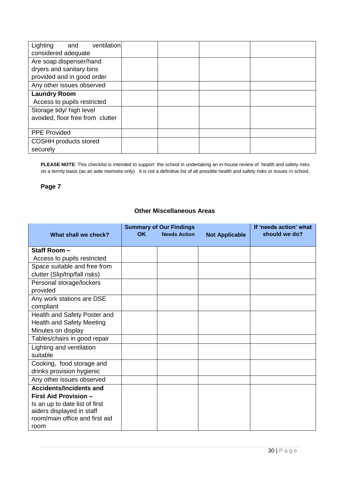| Lighting<br>ventilation<br>and<br>considered adequate                                                              |  |  |
|--------------------------------------------------------------------------------------------------------------------|--|--|
| Are soap dispenser/hand<br>dryers and sanitary bins<br>provided and in good order                                  |  |  |
| Any other issues observed                                                                                          |  |  |
| <b>Laundry Room</b><br>Access to pupils restricted<br>Storage tidy/ high level<br>avoided, floor free from clutter |  |  |
| <b>PPE Provided</b>                                                                                                |  |  |
| <b>COSHH products stored</b><br>securely                                                                           |  |  |

**PLEASE NOTE**: This checklist is intended to support the school in undertaking an in-house review of health and safety risks on a termly basis (as an aide memoire only) It is not a definitive list of all possible health and safety risks or issues in school.

### **Page 7**

#### **Other Miscellaneous Areas**

|                                  |           | <b>Summary of Our Findings</b> |                       | If 'needs action' what |
|----------------------------------|-----------|--------------------------------|-----------------------|------------------------|
| What shall we check?             | <b>OK</b> | <b>Needs Action</b>            | <b>Not Applicable</b> | should we do?          |
|                                  |           |                                |                       |                        |
| Staff Room-                      |           |                                |                       |                        |
| Access to pupils restricted      |           |                                |                       |                        |
| Space suitable and free from     |           |                                |                       |                        |
| clutter (Slip/trip/fall risks)   |           |                                |                       |                        |
| Personal storage/lockers         |           |                                |                       |                        |
| provided                         |           |                                |                       |                        |
| Any work stations are DSE        |           |                                |                       |                        |
| compliant                        |           |                                |                       |                        |
| Health and Safety Poster and     |           |                                |                       |                        |
| <b>Health and Safety Meeting</b> |           |                                |                       |                        |
| Minutes on display               |           |                                |                       |                        |
| Tables/chairs in good repair     |           |                                |                       |                        |
| Lighting and ventilation         |           |                                |                       |                        |
| suitable                         |           |                                |                       |                        |
| Cooking, food storage and        |           |                                |                       |                        |
| drinks provision hygienic        |           |                                |                       |                        |
| Any other issues observed        |           |                                |                       |                        |
| <b>Accidents/Incidents and</b>   |           |                                |                       |                        |
| <b>First Aid Provision -</b>     |           |                                |                       |                        |
| Is an up to date list of first   |           |                                |                       |                        |
| aiders displayed in staff        |           |                                |                       |                        |
| room/main office and first aid   |           |                                |                       |                        |
| room                             |           |                                |                       |                        |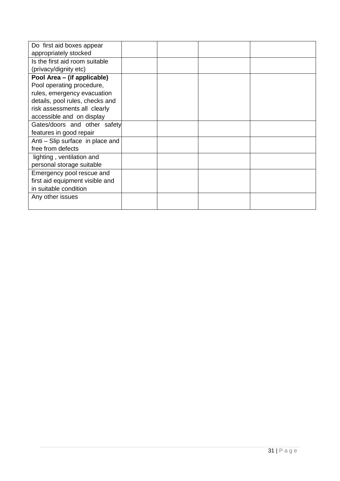| Do first aid boxes appear        |  |  |
|----------------------------------|--|--|
| appropriately stocked            |  |  |
| Is the first aid room suitable   |  |  |
| (privacy/dignity etc)            |  |  |
| Pool Area - (if applicable)      |  |  |
| Pool operating procedure,        |  |  |
| rules, emergency evacuation      |  |  |
| details, pool rules, checks and  |  |  |
| risk assessments all clearly     |  |  |
| accessible and on display        |  |  |
| Gates/doors and other safety     |  |  |
| features in good repair          |  |  |
| Anti - Slip surface in place and |  |  |
| free from defects                |  |  |
| lighting, ventilation and        |  |  |
| personal storage suitable        |  |  |
| Emergency pool rescue and        |  |  |
| first aid equipment visible and  |  |  |
| in suitable condition            |  |  |
| Any other issues                 |  |  |
|                                  |  |  |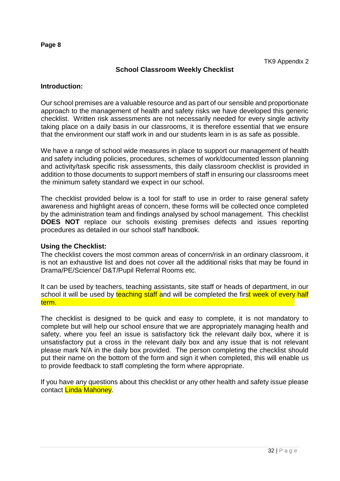### **School Classroom Weekly Checklist**

#### **Introduction:**

Our school premises are a valuable resource and as part of our sensible and proportionate approach to the management of health and safety risks we have developed this generic checklist. Written risk assessments are not necessarily needed for every single activity taking place on a daily basis in our classrooms, it is therefore essential that we ensure that the environment our staff work in and our students learn in is as safe as possible.

We have a range of school wide measures in place to support our management of health and safety including policies, procedures, schemes of work/documented lesson planning and activity/task specific risk assessments, this daily classroom checklist is provided in addition to those documents to support members of staff in ensuring our classrooms meet the minimum safety standard we expect in our school.

The checklist provided below is a tool for staff to use in order to raise general safety awareness and highlight areas of concern, these forms will be collected once completed by the administration team and findings analysed by school management. This checklist **DOES NOT** replace our schools existing premises defects and issues reporting procedures as detailed in our school staff handbook.

#### **Using the Checklist:**

The checklist covers the most common areas of concern/risk in an ordinary classroom, it is not an exhaustive list and does not cover all the additional risks that may be found in Drama/PE/Science/ D&T/Pupil Referral Rooms etc.

It can be used by teachers, teaching assistants, site staff or heads of department, in our school it will be used by teaching staff and will be completed the first week of every half term.

The checklist is designed to be quick and easy to complete, it is not mandatory to complete but will help our school ensure that we are appropriately managing health and safety, where you feel an issue is satisfactory tick the relevant daily box, where it is unsatisfactory put a cross in the relevant daily box and any issue that is not relevant please mark N/A in the daily box provided. The person completing the checklist should put their name on the bottom of the form and sign it when completed, this will enable us to provide feedback to staff completing the form where appropriate.

If you have any questions about this checklist or any other health and safety issue please contact Linda Mahoney.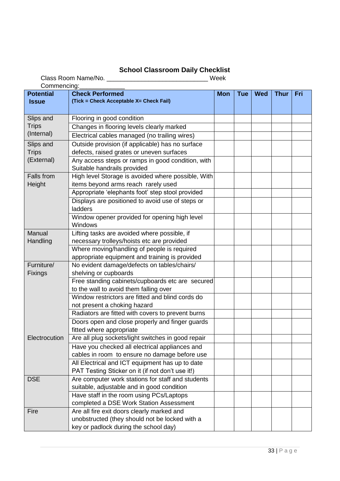#### **School Classroom Daily Checklist**

Class Room Name/No. \_\_\_\_\_\_\_\_\_\_\_\_\_\_\_\_\_\_\_\_\_\_\_\_\_\_\_\_\_ Week

| Commencing:      |                                                    |            |            |            |             |     |
|------------------|----------------------------------------------------|------------|------------|------------|-------------|-----|
| <b>Potential</b> | <b>Check Performed</b>                             | <b>Mon</b> | <b>Tue</b> | <b>Wed</b> | <b>Thur</b> | Fri |
| <b>Issue</b>     | (Tick = Check Acceptable X= Check Fail)            |            |            |            |             |     |
|                  |                                                    |            |            |            |             |     |
| Slips and        | Flooring in good condition                         |            |            |            |             |     |
| <b>Trips</b>     | Changes in flooring levels clearly marked          |            |            |            |             |     |
| (Internal)       | Electrical cables managed (no trailing wires)      |            |            |            |             |     |
| Slips and        | Outside provision (if applicable) has no surface   |            |            |            |             |     |
| <b>Trips</b>     | defects, raised grates or uneven surfaces          |            |            |            |             |     |
| (External)       | Any access steps or ramps in good condition, with  |            |            |            |             |     |
|                  | Suitable handrails provided                        |            |            |            |             |     |
| Falls from       | High level Storage is avoided where possible, With |            |            |            |             |     |
| Height           | items beyond arms reach rarely used                |            |            |            |             |     |
|                  | Appropriate 'elephants foot' step stool provided   |            |            |            |             |     |
|                  | Displays are positioned to avoid use of steps or   |            |            |            |             |     |
|                  | ladders                                            |            |            |            |             |     |
|                  | Window opener provided for opening high level      |            |            |            |             |     |
|                  | Windows                                            |            |            |            |             |     |
| Manual           | Lifting tasks are avoided where possible, if       |            |            |            |             |     |
| Handling         | necessary trolleys/hoists etc are provided         |            |            |            |             |     |
|                  | Where moving/handling of people is required        |            |            |            |             |     |
|                  | appropriate equipment and training is provided     |            |            |            |             |     |
| Furniture/       | No evident damage/defects on tables/chairs/        |            |            |            |             |     |
| <b>Fixings</b>   | shelving or cupboards                              |            |            |            |             |     |
|                  | Free standing cabinets/cupboards etc are secured   |            |            |            |             |     |
|                  | to the wall to avoid them falling over             |            |            |            |             |     |
|                  | Window restrictors are fitted and blind cords do   |            |            |            |             |     |
|                  | not present a choking hazard                       |            |            |            |             |     |
|                  | Radiators are fitted with covers to prevent burns  |            |            |            |             |     |
|                  | Doors open and close properly and finger guards    |            |            |            |             |     |
|                  | fitted where appropriate                           |            |            |            |             |     |
| Electrocution    | Are all plug sockets/light switches in good repair |            |            |            |             |     |
|                  | Have you checked all electrical appliances and     |            |            |            |             |     |
|                  | cables in room to ensure no damage before use      |            |            |            |             |     |
|                  | All Electrical and ICT equipment has up to date    |            |            |            |             |     |
|                  | PAT Testing Sticker on it (if not don't use it!)   |            |            |            |             |     |
| <b>DSE</b>       | Are computer work stations for staff and students  |            |            |            |             |     |
|                  | suitable, adjustable and in good condition         |            |            |            |             |     |
|                  | Have staff in the room using PCs/Laptops           |            |            |            |             |     |
|                  | completed a DSE Work Station Assessment            |            |            |            |             |     |
| Fire             | Are all fire exit doors clearly marked and         |            |            |            |             |     |
|                  | unobstructed (they should not be locked with a     |            |            |            |             |     |
|                  | key or padlock during the school day)              |            |            |            |             |     |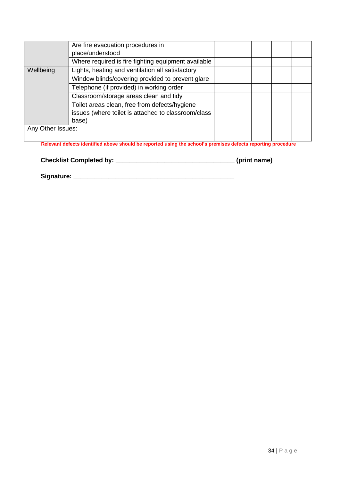|                   | Are fire evacuation procedures in<br>place/understood                                                         |  |  |  |
|-------------------|---------------------------------------------------------------------------------------------------------------|--|--|--|
|                   | Where required is fire fighting equipment available                                                           |  |  |  |
| Wellbeing         | Lights, heating and ventilation all satisfactory                                                              |  |  |  |
|                   | Window blinds/covering provided to prevent glare                                                              |  |  |  |
|                   | Telephone (if provided) in working order                                                                      |  |  |  |
|                   | Classroom/storage areas clean and tidy                                                                        |  |  |  |
|                   | Toilet areas clean, free from defects/hygiene<br>issues (where toilet is attached to classroom/class<br>base) |  |  |  |
| Any Other Issues: | Relevant defects identified above should be reported using the school's premises defects reporting procedure  |  |  |  |

**Checklist Completed by: \_\_\_\_\_\_\_\_\_\_\_\_\_\_\_\_\_\_\_\_\_\_\_\_\_\_\_\_\_\_\_\_\_\_ (print name)** 

**Signature: \_\_\_\_\_\_\_\_\_\_\_\_\_\_\_\_\_\_\_\_\_\_\_\_\_\_\_\_\_\_\_\_\_\_\_\_\_\_\_\_\_\_\_\_\_\_**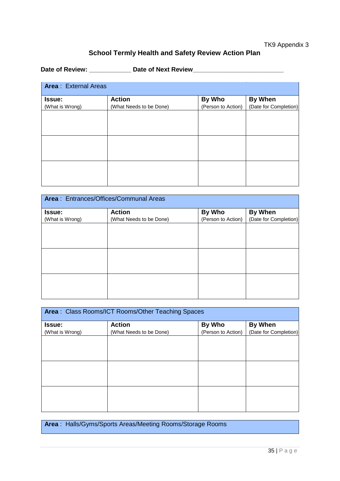## **School Termly Health and Safety Review Action Plan**

Date of Review: \_\_\_\_\_\_\_\_\_\_\_\_\_\_ Date of Next Review\_\_\_\_\_\_\_\_\_\_\_\_\_\_\_\_\_\_\_\_\_\_\_\_\_\_\_\_\_\_\_

| <b>Area: External Areas</b> |                         |                    |                       |
|-----------------------------|-------------------------|--------------------|-----------------------|
| Issue:                      | <b>Action</b>           | By Who             | <b>By When</b>        |
| (What is Wrong)             | (What Needs to be Done) | (Person to Action) | (Date for Completion) |
|                             |                         |                    |                       |
|                             |                         |                    |                       |
|                             |                         |                    |                       |
|                             |                         |                    |                       |
|                             |                         |                    |                       |
|                             |                         |                    |                       |
|                             |                         |                    |                       |
|                             |                         |                    |                       |
|                             |                         |                    |                       |

| <b>Action</b>           | By Who                                 | <b>By When</b>        |
|-------------------------|----------------------------------------|-----------------------|
| (What Needs to be Done) | (Person to Action)                     | (Date for Completion) |
|                         |                                        |                       |
|                         |                                        |                       |
|                         |                                        |                       |
|                         |                                        |                       |
|                         |                                        |                       |
|                         |                                        |                       |
|                         |                                        |                       |
|                         |                                        |                       |
|                         |                                        |                       |
|                         | Area: Entrances/Offices/Communal Areas |                       |

| Area: Class Rooms/ICT Rooms/Other Teaching Spaces |                         |                    |                       |
|---------------------------------------------------|-------------------------|--------------------|-----------------------|
| <b>Issue:</b>                                     | <b>Action</b>           | By Who             | <b>By When</b>        |
| (What is Wrong)                                   | (What Needs to be Done) | (Person to Action) | (Date for Completion) |
|                                                   |                         |                    |                       |
|                                                   |                         |                    |                       |
|                                                   |                         |                    |                       |
|                                                   |                         |                    |                       |
|                                                   |                         |                    |                       |
|                                                   |                         |                    |                       |
|                                                   |                         |                    |                       |
|                                                   |                         |                    |                       |
|                                                   |                         |                    |                       |
|                                                   |                         |                    |                       |

**Area** : Halls/Gyms/Sports Areas/Meeting Rooms/Storage Rooms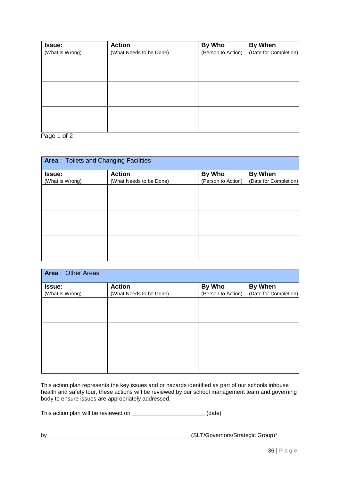| Issue:          | <b>Action</b>           | By Who             | <b>By When</b>        |
|-----------------|-------------------------|--------------------|-----------------------|
| (What is Wrong) | (What Needs to be Done) | (Person to Action) | (Date for Completion) |
|                 |                         |                    |                       |
|                 |                         |                    |                       |
|                 |                         |                    |                       |
|                 |                         |                    |                       |
|                 |                         |                    |                       |
|                 |                         |                    |                       |
|                 |                         |                    |                       |
|                 |                         |                    |                       |
|                 |                         |                    |                       |
|                 |                         |                    |                       |

Page 1 of 2

| <b>Area: Toilets and Changing Facilities</b> |                         |                    |                       |  |
|----------------------------------------------|-------------------------|--------------------|-----------------------|--|
| Issue:                                       | <b>Action</b>           | By Who             | <b>By When</b>        |  |
| (What is Wrong)                              | (What Needs to be Done) | (Person to Action) | (Date for Completion) |  |
|                                              |                         |                    |                       |  |
|                                              |                         |                    |                       |  |
|                                              |                         |                    |                       |  |
|                                              |                         |                    |                       |  |
|                                              |                         |                    |                       |  |
|                                              |                         |                    |                       |  |
|                                              |                         |                    |                       |  |
|                                              |                         |                    |                       |  |
|                                              |                         |                    |                       |  |

| <b>Area: Other Areas</b> |                         |                    |                       |
|--------------------------|-------------------------|--------------------|-----------------------|
| Issue:                   | <b>Action</b>           | By Who             | <b>By When</b>        |
| (What is Wrong)          | (What Needs to be Done) | (Person to Action) | (Date for Completion) |
|                          |                         |                    |                       |
|                          |                         |                    |                       |
|                          |                         |                    |                       |
|                          |                         |                    |                       |
|                          |                         |                    |                       |
|                          |                         |                    |                       |
|                          |                         |                    |                       |
|                          |                         |                    |                       |
|                          |                         |                    |                       |
|                          |                         |                    |                       |

This action plan represents the key issues and or hazards identified as part of our schools inhouse health and safety tour, these actions will be reviewed by our school management team and governing body to ensure issues are appropriately addressed.

This action plan will be reviewed on \_\_\_\_\_\_\_\_\_\_\_\_\_\_\_\_\_\_\_\_\_\_\_\_\_\_\_\_\_(date)

by \_\_\_\_\_\_\_\_\_\_\_\_\_\_\_\_\_\_\_\_\_\_\_\_\_\_\_\_\_\_\_\_\_\_\_\_\_\_\_\_\_\_\_\_\_(SLT/Governors/Strategic Group)\*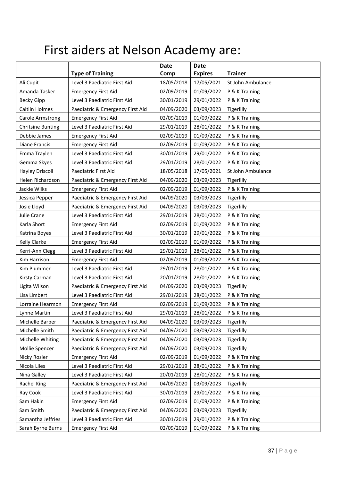# First aiders at Nelson Academy are:

|                          |                                  | <b>Date</b> | <b>Date</b>    |                   |
|--------------------------|----------------------------------|-------------|----------------|-------------------|
|                          | <b>Type of Training</b>          | Comp        | <b>Expires</b> | <b>Trainer</b>    |
| Ali Cupit                | Level 3 Paediatric First Aid     | 18/05/2018  | 17/05/2021     | St John Ambulance |
| Amanda Tasker            | <b>Emergency First Aid</b>       | 02/09/2019  | 01/09/2022     | P & K Training    |
| <b>Becky Gipp</b>        | Level 3 Paediatric First Aid     | 30/01/2019  | 29/01/2022     | P & K Training    |
| <b>Caitlin Holmes</b>    | Paediatric & Emergency First Aid | 04/09/2020  | 03/09/2023     | Tigerlilly        |
| Carole Armstrong         | <b>Emergency First Aid</b>       | 02/09/2019  | 01/09/2022     | P & K Training    |
| <b>Chritsine Bunting</b> | Level 3 Paediatric First Aid     | 29/01/2019  | 28/01/2022     | P & K Training    |
| Debbie James             | <b>Emergency First Aid</b>       | 02/09/2019  | 01/09/2022     | P & K Training    |
| Diane Francis            | <b>Emergency First Aid</b>       | 02/09/2019  | 01/09/2022     | P & K Training    |
| Emma Traylen             | Level 3 Paediatric First Aid     | 30/01/2019  | 29/01/2022     | P & K Training    |
| Gemma Skyes              | Level 3 Paediatric First Aid     | 29/01/2019  | 28/01/2022     | P & K Training    |
| <b>Hayley Driscoll</b>   | Paediatric First Aid             | 18/05/2018  | 17/05/2021     | St John Ambulance |
| Helen Richardson         | Paediatric & Emergency First Aid | 04/09/2020  | 03/09/2023     | Tigerlilly        |
| Jackie Wilks             | <b>Emergency First Aid</b>       | 02/09/2019  | 01/09/2022     | P & K Training    |
| Jessica Pepper           | Paediatric & Emergency First Aid | 04/09/2020  | 03/09/2023     | Tigerlilly        |
| Josie Lloyd              | Paediatric & Emergency First Aid | 04/09/2020  | 03/09/2023     | Tigerlilly        |
| Julie Crane              | Level 3 Paediatric First Aid     | 29/01/2019  | 28/01/2022     | P & K Training    |
| Karla Short              | <b>Emergency First Aid</b>       | 02/09/2019  | 01/09/2022     | P & K Training    |
| Katrina Boyes            | Level 3 Paediatric First Aid     | 30/01/2019  | 29/01/2022     | P & K Training    |
| Kelly Clarke             | <b>Emergency First Aid</b>       | 02/09/2019  | 01/09/2022     | P & K Training    |
| Kerri-Ann Clegg          | Level 3 Paediatric First Aid     | 29/01/2019  | 28/01/2022     | P & K Training    |
| Kim Harrison             | <b>Emergency First Aid</b>       | 02/09/2019  | 01/09/2022     | P & K Training    |
| Kim Plummer              | Level 3 Paediatric First Aid     | 29/01/2019  | 28/01/2022     | P & K Training    |
| Kirsty Carman            | Level 3 Paediatric First Aid     | 20/01/2019  | 28/01/2022     | P & K Training    |
| Ligita Wilson            | Paediatric & Emergency First Aid | 04/09/2020  | 03/09/2023     | Tigerlilly        |
| Lisa Limbert             | Level 3 Paediatric First Aid     | 29/01/2019  | 28/01/2022     | P & K Training    |
| Lorraine Hearmon         | <b>Emergency First Aid</b>       | 02/09/2019  | 01/09/2022     | P & K Training    |
| Lynne Martin             | Level 3 Paediatric First Aid     | 29/01/2019  | 28/01/2022     | P & K Training    |
| Michelle Barber          | Paediatric & Emergency First Aid | 04/09/2020  | 03/09/2023     | Tigerlilly        |
| Michelle Smith           | Paediatric & Emergency First Aid | 04/09/2020  | 03/09/2023     | Tigerlilly        |
| Michelle Whiting         | Paediatric & Emergency First Aid | 04/09/2020  | 03/09/2023     | Tigerlilly        |
| Mollie Spencer           | Paediatric & Emergency First Aid | 04/09/2020  | 03/09/2023     | Tigerlilly        |
| Nicky Rosier             | <b>Emergency First Aid</b>       | 02/09/2019  | 01/09/2022     | P & K Training    |
| Nicola Liles             | Level 3 Paediatric First Aid     | 29/01/2019  | 28/01/2022     | P & K Training    |
| Nina Galley              | Level 3 Paediatric First Aid     | 20/01/2019  | 28/01/2022     | P & K Training    |
| Rachel King              | Paediatric & Emergency First Aid | 04/09/2020  | 03/09/2023     | Tigerlilly        |
| Ray Cook                 | Level 3 Paediatric First Aid     | 30/01/2019  | 29/01/2022     | P & K Training    |
| Sam Hakin                | <b>Emergency First Aid</b>       | 02/09/2019  | 01/09/2022     | P & K Training    |
| Sam Smith                | Paediatric & Emergency First Aid | 04/09/2020  | 03/09/2023     | Tigerlilly        |
| Samantha Jeffries        | Level 3 Paediatric First Aid     | 30/01/2019  | 29/01/2022     | P & K Training    |
| Sarah Byrne Burns        | <b>Emergency First Aid</b>       | 02/09/2019  | 01/09/2022     | P & K Training    |